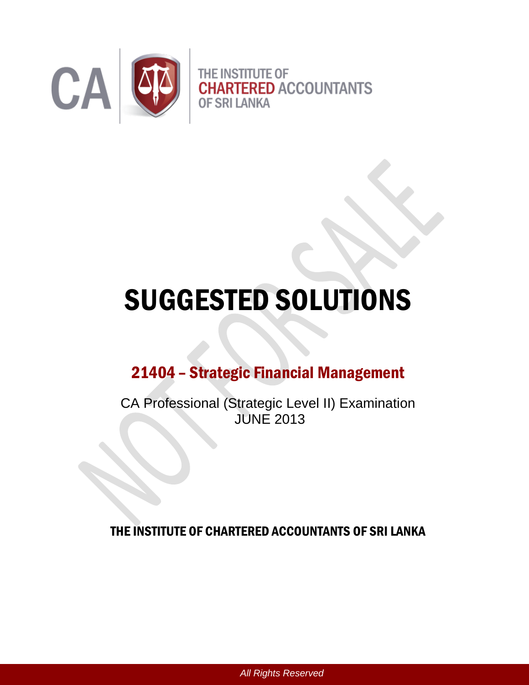

# SUGGESTED SOLUTIONS

## 21404 – Strategic Financial Management

CA Professional (Strategic Level II) Examination JUNE 2013

THE INSTITUTE OF CHARTERED ACCOUNTANTS OF SRI LANKA

*All Rights Reserved*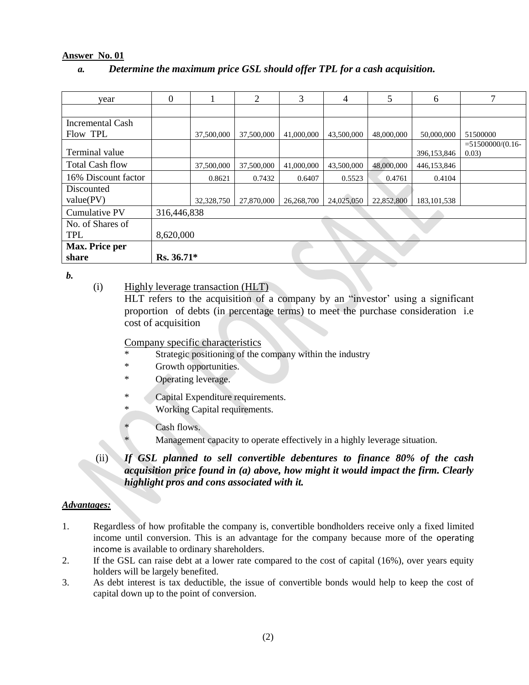#### **Answer No. 01**

#### *a. Determine the maximum price GSL should offer TPL for a cash acquisition.*

| year                    | $\theta$    |            | 2          | 3          | $\overline{4}$ | 5          | 6             |                              |
|-------------------------|-------------|------------|------------|------------|----------------|------------|---------------|------------------------------|
|                         |             |            |            |            |                |            |               |                              |
| <b>Incremental Cash</b> |             |            |            |            |                |            |               |                              |
| Flow TPL                |             | 37,500,000 | 37,500,000 | 41,000,000 | 43,500,000     | 48,000,000 | 50,000,000    | 51500000                     |
| Terminal value          |             |            |            |            |                |            | 396,153,846   | $= 51500000(0.16 -$<br>0.03) |
| <b>Total Cash flow</b>  |             | 37,500,000 | 37,500,000 | 41,000,000 | 43,500,000     | 48,000,000 | 446,153,846   |                              |
| 16% Discount factor     |             | 0.8621     | 0.7432     | 0.6407     | 0.5523         | 0.4761     | 0.4104        |                              |
| Discounted              |             |            |            |            |                |            |               |                              |
| value(PV)               |             | 32,328,750 | 27,870,000 | 26,268,700 | 24,025,050     | 22,852,800 | 183, 101, 538 |                              |
| Cumulative PV           | 316,446,838 |            |            |            |                |            |               |                              |
| No. of Shares of        |             |            |            |            |                |            |               |                              |
| TPL                     | 8,620,000   |            |            |            |                |            |               |                              |
| Max. Price per          |             |            |            |            |                |            |               |                              |
| share                   | Rs. 36.71*  |            |            |            |                |            |               |                              |

*b.* 

(i) Highly leverage transaction (HLT)

 HLT refers to the acquisition of a company by an "investor' using a significant proportion of debts (in percentage terms) to meet the purchase consideration i.e cost of acquisition

#### Company specific characteristics

- Strategic positioning of the company within the industry
- \* Growth opportunities.
- \* Operating leverage.
- \* Capital Expenditure requirements.
- \* Working Capital requirements.
	- Cash flows.
		- Management capacity to operate effectively in a highly leverage situation.
- (ii) *If GSL planned to sell convertible debentures to finance 80% of the cash acquisition price found in (a) above, how might it would impact the firm. Clearly highlight pros and cons associated with it.*

#### *Advantages:*

- 1. Regardless of how profitable the company is, convertible bondholders receive only a fixed limited income until conversion. This is an advantage for the company because more of the [operating](http://www.investopedia.com/terms/o/operatingincome.asp)  [income](http://www.investopedia.com/terms/o/operatingincome.asp) is available to ordinary shareholders.
- 2. If the GSL can raise debt at a lower rate compared to the cost of capital (16%), over years equity holders will be largely benefited.
- 3. As debt interest is tax deductible, the issue of convertible bonds would help to keep the cost of capital down up to the point of conversion.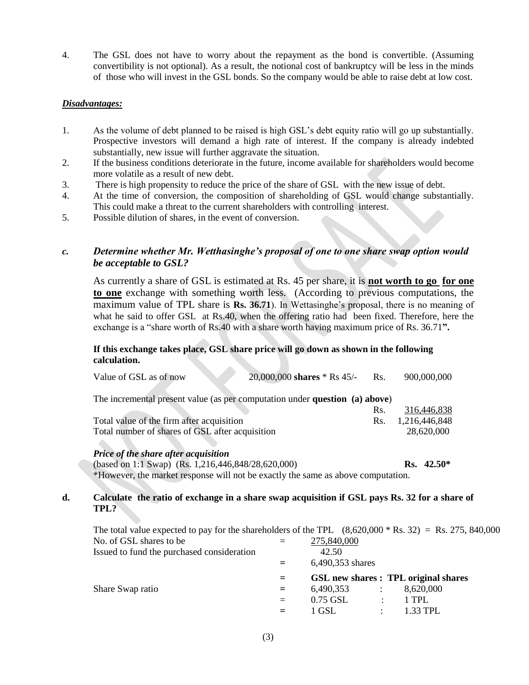4. The GSL does not have to worry about the repayment as the bond is convertible. (Assuming convertibility is not optional). As a result, the notional cost of bankruptcy will be less in the minds of those who will invest in the GSL bonds. So the company would be able to raise debt at low cost.

#### *Disadvantages:*

- 1. As the volume of debt planned to be raised is high GSL's debt equity ratio will go up substantially. Prospective investors will demand a high rate of interest. If the company is already indebted substantially, new issue will further aggravate the situation.
- 2. If the business conditions deteriorate in the future, income available for shareholders would become more volatile as a result of new debt.
- 3. There is high propensity to reduce the price of the share of GSL with the new issue of debt.
- 4. At the time of conversion, the composition of shareholding of GSL would change substantially. This could make a threat to the current shareholders with controlling interest.
- 5. Possible dilution of shares, in the event of conversion.

#### *c. Determine whether Mr. Wetthasinghe's proposal of one to one share swap option would be acceptable to GSL?*

As currently a share of GSL is estimated at Rs. 45 per share, it is **not worth to go for one to one** exchange with something worth less. (According to previous computations, the maximum value of TPL share is **Rs. 36.71**). In Wettasinghe's proposal, there is no meaning of what he said to offer GSL at Rs.40, when the offering ratio had been fixed. Therefore, here the exchange is a "share worth of Rs.40 with a share worth having maximum price of Rs. 36.71**".** 

#### **If this exchange takes place, GSL share price will go down as shown in the following calculation.**

|    | Value of GSL as of now                                                                                | $20,000,000$ shares * Rs 45/- Rs. |     | 900,000,000   |  |
|----|-------------------------------------------------------------------------------------------------------|-----------------------------------|-----|---------------|--|
|    | The incremental present value (as per computation under <b>question</b> (a) above)                    |                                   |     |               |  |
|    |                                                                                                       |                                   | Rs. | 316,446,838   |  |
|    | Total value of the firm after acquisition                                                             |                                   | Rs. | 1,216,446,848 |  |
|    | Total number of shares of GSL after acquisition                                                       |                                   |     | 28,620,000    |  |
|    | Price of the share after acquisition                                                                  |                                   |     |               |  |
|    | (based on 1:1 Swap) (Rs. 1,216,446,848/28,620,000)                                                    |                                   |     | $Rs. 42.50*$  |  |
|    | *However, the market response will not be exactly the same as above computation.                      |                                   |     |               |  |
| d. | Calculate the ratio of exchange in a share swap acquisition if GSL pays Rs. 32 for a share of<br>TPL? |                                   |     |               |  |
|    | The total value expected to pay for the shareholders of the TPL $(8.620.000 * Rs. 32) = Rs. 275.84$   |                                   |     |               |  |

|                                            |     | The total value expected to pay for the shareholders of the TPL $(8,620,000 * Rs. 32) = Rs. 275, 840,000$ |
|--------------------------------------------|-----|-----------------------------------------------------------------------------------------------------------|
| No. of GSL shares to be                    | $=$ | 275,840,000                                                                                               |
| Issued to fund the purchased consideration |     | 42.50                                                                                                     |
|                                            | $=$ | 6,490,353 shares                                                                                          |
|                                            | $=$ | <b>GSL</b> new shares : <b>TPL</b> original shares                                                        |
| Share Swap ratio                           | $=$ | 6,490,353<br>8,620,000<br>$\sim 1000$                                                                     |
|                                            | $=$ | 0.75 GSL<br>1 TPL<br>$\mathcal{L}$                                                                        |
|                                            |     | 1 GSL<br>$1.33$ TPL.<br>$\mathcal{L}$                                                                     |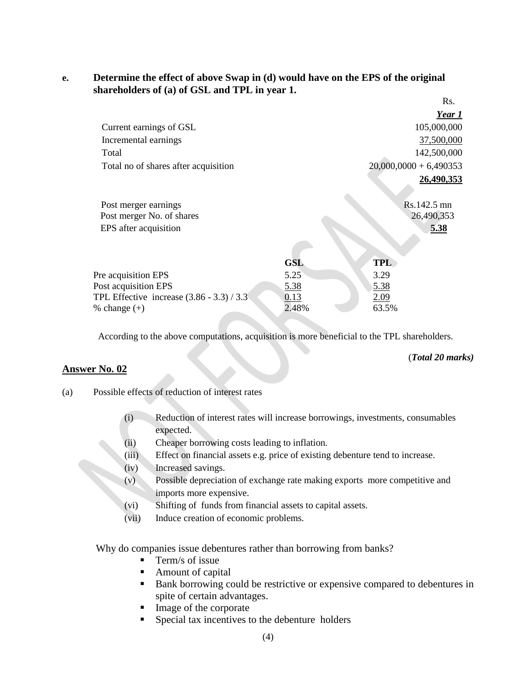#### **e. Determine the effect of above Swap in (d) would have on the EPS of the original shareholders of (a) of GSL and TPL in year 1.**  $\mathbf{D}$

|                                             |            |                          | INS.        |
|---------------------------------------------|------------|--------------------------|-------------|
|                                             |            |                          | Year 1      |
| Current earnings of GSL                     |            |                          | 105,000,000 |
| Incremental earnings                        |            |                          | 37,500,000  |
| Total                                       |            |                          | 142,500,000 |
| Total no of shares after acquisition        |            | $20,000,0000 + 6,490353$ |             |
|                                             |            |                          | 26,490,353  |
| Post merger earnings                        |            | Rs.142.5 mn              |             |
| Post merger No. of shares                   |            | 26,490,353               |             |
| EPS after acquisition                       |            |                          | 5.38        |
|                                             |            |                          |             |
|                                             | <b>GSL</b> | <b>TPL</b>               |             |
| Pre acquisition EPS                         | 5.25       | 3.29                     |             |
| Post acquisition EPS                        | 5.38       | 5.38                     |             |
| TPL Effective increase $(3.86 - 3.3) / 3.3$ | 0.13       | 2.09                     |             |
| % change $(+)$                              | 2.48%      | 63.5%                    |             |

According to the above computations, acquisition is more beneficial to the TPL shareholders.

#### **Answer No. 02**

(*Total 20 marks)*

- (a) Possible effects of reduction of interest rates
	- (i) Reduction of interest rates will increase borrowings, investments, consumables expected.
	- (ii) Cheaper borrowing costs leading to inflation.
	- (iii) Effect on financial assets e.g. price of existing debenture tend to increase.
	- (iv) Increased savings.
	- (v) Possible depreciation of exchange rate making exports more competitive and imports more expensive.
	- (vi) Shifting of funds from financial assets to capital assets.
	- (vii) Induce creation of economic problems.

Why do companies issue debentures rather than borrowing from banks?

- $\blacksquare$  Term/s of issue
- Amount of capital
- Bank borrowing could be restrictive or expensive compared to debentures in spite of certain advantages.
- Image of the corporate
- **Special tax incentives to the debenture holders**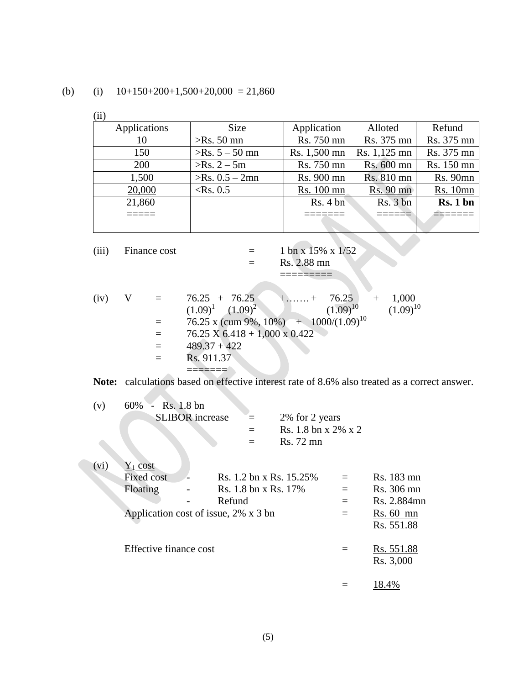(b) (i)  $10+150+200+1,500+20,000 = 21,860$ 

| (…           |                   |              |              |                 |
|--------------|-------------------|--------------|--------------|-----------------|
| Applications | Size              | Application  | Alloted      | Refund          |
| 10           | $>$ Rs. 50 mn     | Rs. 750 mn   | Rs. 375 mn   | Rs. 375 mn      |
| 150          | $>$ Rs. 5 – 50 mn | Rs. 1,500 mn | Rs. 1,125 mn | Rs. 375 mn      |
| <b>200</b>   | $>$ Rs. 2 – 5m    | Rs. 750 mn   | Rs. 600 mn   | Rs. 150 mn      |
| 1,500        | $>$ Rs. 0.5 – 2mn | Rs. 900 mn   | Rs. 810 mn   | <b>Rs. 90mn</b> |
| 20,000       | $\langle$ Rs. 0.5 | Rs. 100 mn   | Rs. 90 mn    | <b>Rs.</b> 10mn |
| 21,860       |                   | Rs. 4 bn     | Rs. 3 bn     | Rs. 1 bn        |
|              |                   |              |              |                 |
|              |                   |              |              |                 |
|              |                   |              |              |                 |

 $\mathcal{L}(\mathcal{L})$ 

| (iii) | Finance cost |     | 1 bn x 15% x 1/52                                                     |
|-------|--------------|-----|-----------------------------------------------------------------------|
|       |              |     | Rs. 2.88 mn                                                           |
|       |              |     |                                                                       |
|       |              |     |                                                                       |
| (iv)  |              |     | $\frac{76.25}{ } + \frac{76.25}{ }$<br>1,000<br>$+$ + 76.25<br>$^{+}$ |
|       |              |     | $(1.09)^{10}$<br>$(1.09)^1$ $(1.09)^2$<br>$(1.09)^{10}$               |
|       |              |     | 76.25 x (cum 9%, 10%) + 1000/(1.09) <sup>10</sup>                     |
|       |              | $=$ | $76.25 \text{ X } 6.418 + 1,000 \text{ X } 0.422$                     |
|       |              |     | $489.37 + 422$                                                        |
|       |              |     | Rs. 911.37                                                            |
|       |              |     |                                                                       |

**Note:** calculations based on effective interest rate of 8.6% also treated as a correct answer.

| (v)  | $-Rs. 1.8bn$<br>60%<br><b>SLIBOR</b> increase<br>2% for 2 years<br>Rs. 1.8 bn x $2\%$ x 2<br>Rs. 72 mn                                           |            |                                                                      |
|------|--------------------------------------------------------------------------------------------------------------------------------------------------|------------|----------------------------------------------------------------------|
| (vi) | $Y_1$ cost<br><b>Fixed cost</b><br>Rs. 1.2 bn x Rs. 15.25%<br>Rs. 1.8 bn x Rs. 17%<br>Floating<br>Refund<br>Application cost of issue, 2% x 3 bn | $=$<br>$=$ | Rs. 183 mn<br>Rs. 306 mn<br>Rs. 2.884mn<br>$Rs. 60$ mn<br>Rs. 551.88 |
|      | Effective finance cost                                                                                                                           |            | Rs. 551.88<br>Rs. 3,000                                              |
|      |                                                                                                                                                  |            | 18.4%                                                                |

(5)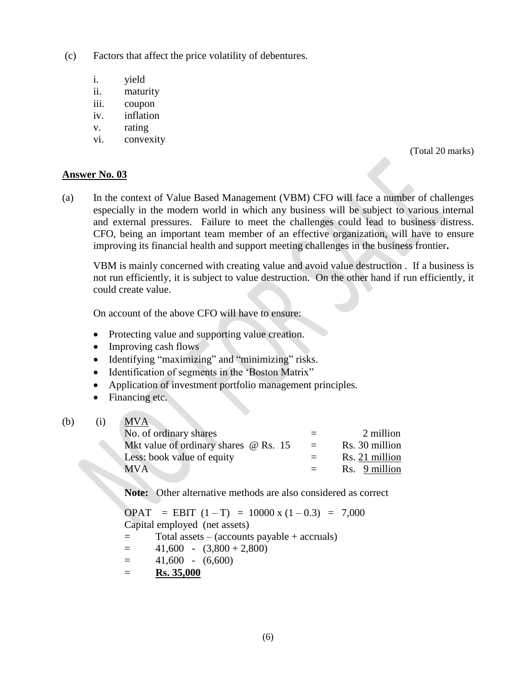- (c) Factors that affect the price volatility of debentures.
	- i. yield
	- ii. maturity
	- iii. coupon
	- iv. inflation
	- v. rating
	- vi. convexity

(Total 20 marks)

#### **Answer No. 03**

(a) In the context of Value Based Management (VBM) CFO will face a number of challenges especially in the modern world in which any business will be subject to various internal and external pressures. Failure to meet the challenges could lead to business distress. CFO, being an important team member of an effective organization, will have to ensure improving its financial health and support meeting challenges in the business frontier**.** 

VBM is mainly concerned with creating value and avoid value destruction . If a business is not run efficiently, it is subject to value destruction. On the other hand if run efficiently, it could create value.

On account of the above CFO will have to ensure:

- Protecting value and supporting value creation.
- Improving cash flows
- Identifying "maximizing" and "minimizing" risks.
- Identification of segments in the 'Boston Matrix"
- Application of investment portfolio management principles.
- Financing etc.

#### (b) (i) MVA

| No. of ordinary shares                       | $=$      | 2 million      |
|----------------------------------------------|----------|----------------|
| Mkt value of ordinary shares $\omega$ Rs. 15 | $\equiv$ | Rs. 30 million |
| Less: book value of equity                   | $=$      | Rs. 21 million |
| MVA .                                        | $=$ $-$  | Rs. 9 million  |

**Note:** Other alternative methods are also considered as correct

OPAT = EBIT  $(1 - T)$  = 10000 x  $(1 - 0.3)$  = 7,000 Capital employed (net assets) = Total assets – (accounts payable + accruals)  $=$  41,600 - (3,800 + 2,800)  $=$  41,600 - (6,600)  $=$  **Rs. 35,000** 

(6)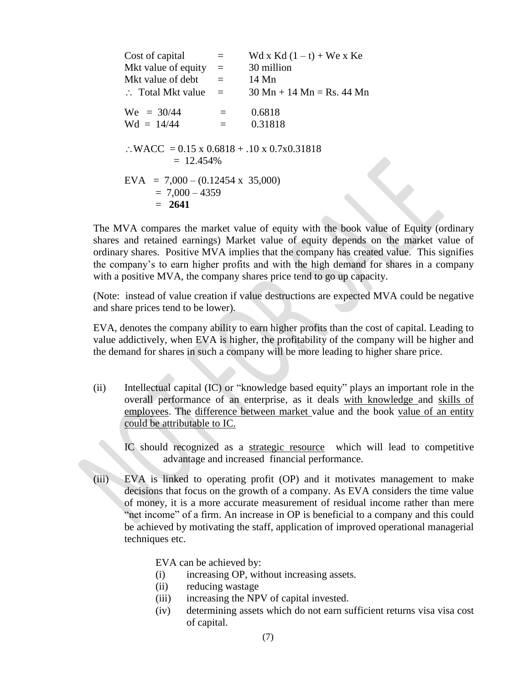| Cost of capital                                                       |     | Wd x Kd $(1-t)$ + We x Ke                                   |
|-----------------------------------------------------------------------|-----|-------------------------------------------------------------|
| Mkt value of equity                                                   | $=$ | 30 million                                                  |
| Mkt value of debt                                                     | $=$ | 14 Mn                                                       |
| $\therefore$ Total Mkt value                                          | $=$ | $30 \text{ Mn} + 14 \text{ Mn} = \text{Rs. } 44 \text{ Mn}$ |
| $We = 30/44$                                                          | $=$ | 0.6818                                                      |
| $Wd = 14/44$                                                          |     | 0.31818                                                     |
| $\therefore$ WACC = 0.15 x 0.6818 + .10 x 0.7x0.31818<br>$= 12.454\%$ |     |                                                             |
| $EVA = 7,000 - (0.12454 \times 35,000)$                               |     |                                                             |
| $= 7,000 - 4359$                                                      |     |                                                             |
| $= 2641$                                                              |     |                                                             |

The MVA compares the market value of equity with the book value of Equity (ordinary shares and retained earnings) Market value of equity depends on the market value of ordinary shares. Positive MVA implies that the company has created value. This signifies the company's to earn higher profits and with the high demand for shares in a company with a positive MVA, the company shares price tend to go up capacity.

(Note: instead of value creation if value destructions are expected MVA could be negative and share prices tend to be lower).

EVA, denotes the company ability to earn higher profits than the cost of capital. Leading to value addictively, when EVA is higher, the profitability of the company will be higher and the demand for shares in such a company will be more leading to higher share price.

(ii) Intellectual capital (IC) or "knowledge based equity" plays an important role in the overall performance of an enterprise, as it deals with knowledge and skills of employees. The difference between market value and the book value of an entity could be attributable to IC.

IC should recognized as a strategic resource which will lead to competitive advantage and increased financial performance.

(iii) EVA is linked to operating profit (OP) and it motivates management to make decisions that focus on the growth of a company. As EVA considers the time value of money, it is a more accurate measurement of residual income rather than mere "net income" of a firm. An increase in OP is beneficial to a company and this could be achieved by motivating the staff, application of improved operational managerial techniques etc.

EVA can be achieved by:

- (i) increasing OP, without increasing assets.
- (ii) reducing wastage
- (iii) increasing the NPV of capital invested.
- (iv) determining assets which do not earn sufficient returns visa visa cost of capital.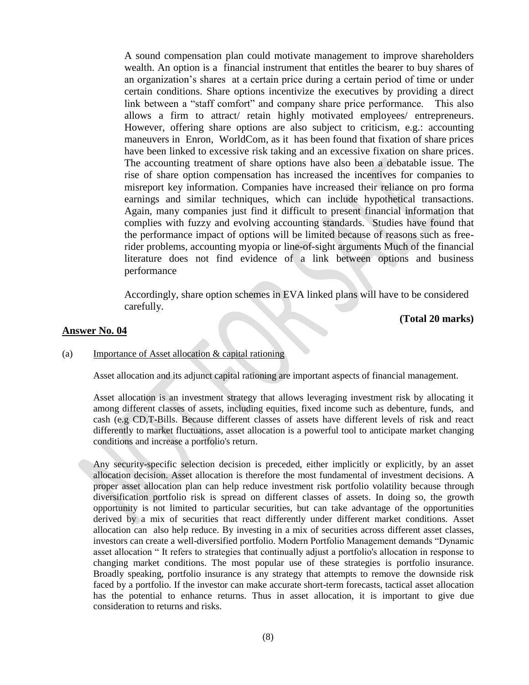A sound compensation plan could motivate management to improve shareholders wealth. An option is a financial instrument that entitles the bearer to buy shares of an organization's shares at a certain price during a certain period of time or under certain conditions. Share options incentivize the executives by providing a direct link between a "staff comfort" and company share price performance. This also allows a firm to attract/ retain highly motivated employees/ entrepreneurs. However, offering share options are also subject to criticism, e.g.: accounting maneuvers in Enron, WorldCom, as it has been found that fixation of share prices have been linked to excessive risk taking and an excessive fixation on share prices. The accounting treatment of share options have also been a debatable issue. The rise of [share option compensation](http://www.investopedia.com/terms/e/eso.asp) has increased the incentives for companies to misreport key information. Companies have increased their reliance on [pro forma](http://www.investopedia.com/terms/p/proformaearnings.asp)  [earnings](http://www.investopedia.com/terms/p/proformaearnings.asp) and similar techniques, which can include hypothetical transactions. Again, many companies just find it difficult to present financial information that complies with fuzzy and evolving accounting standards. Studies have found that the performance impact of options will be limited because of reasons such as freerider problems, accounting myopia or line-of-sight arguments Much of the financial literature does not find evidence of a link between options and business performance

Accordingly, share option schemes in EVA linked plans will have to be considered carefully.

**(Total 20 marks)**

#### **Answer No. 04**

#### (a) Importance of Asset allocation & capital rationing

Asset allocation and its adjunct capital rationing are important aspects of financial management.

Asset allocation is an investment strategy that allows leveraging investment risk by allocating it among different classes of assets, including equities, fixed income such as debenture, funds, and cash (e.g CD,T-Bills. Because different classes of assets have different levels of risk and react differently to market fluctuations, asset allocation is a powerful tool to anticipate market changing conditions and increase a portfolio's return.

Any security-specific selection decision is preceded, either implicitly or explicitly, by an asset allocation decision. Asset allocation is therefore the most fundamental of investment decisions. A proper asset allocation plan can help reduce investment risk portfolio volatility because through diversification portfolio risk is spread on different classes of assets. In doing so, the growth opportunity is not limited to particular securities, but can take advantage of the opportunities derived by a mix of securities that react differently under different market conditions. Asset allocation can also help reduce. By investing in a mix of securities across different asset classes, investors can create a well-diversified portfolio. Modern Portfolio Management demands "Dynamic asset allocation " It refers to strategies that continually adjust a portfolio's allocation in response to changing market conditions. The most popular use of these strategies is portfolio insurance. Broadly speaking, portfolio insurance is any strategy that attempts to remove the downside risk faced by a portfolio. If the investor can make accurate short-term forecasts, tactical asset allocation has the potential to enhance returns. Thus in asset allocation, it is important to give due consideration to returns and risks.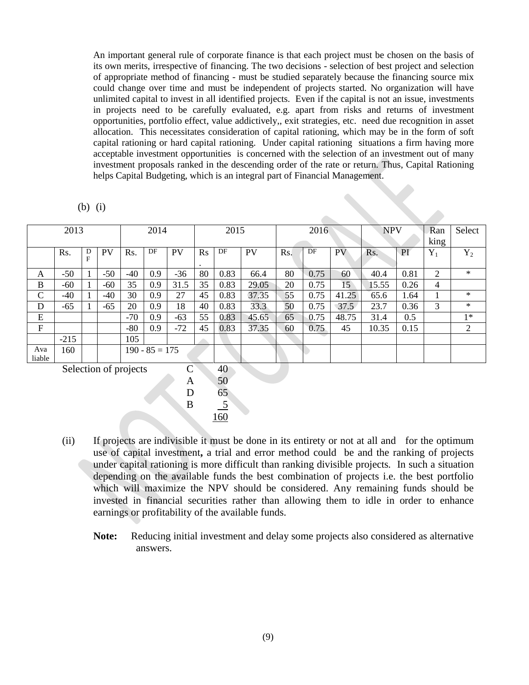An important general rule of corporate finance is that each project must be chosen on the basis of its own merits, irrespective of financing. The two decisions - selection of best project and selection of appropriate method of financing - must be studied separately because the financing source mix could change over time and must be independent of projects started. No organization will have unlimited capital to invest in all identified projects. Even if the capital is not an issue, investments in projects need to be carefully evaluated, e.g. apart from risks and returns of investment opportunities, portfolio effect, value addictively,, exit strategies, etc. need due recognition in asset allocation. This necessitates consideration of capital rationing, which may be in the form of soft capital rationing or hard capital rationing. Under capital rationing situations a firm having more acceptable investment opportunities is concerned with the selection of an investment out of many investment proposals ranked in the descending order of the rate or return. Thus, Capital Rationing helps Capital Budgeting, which is an integral part of Financial Management.

| (<br>b |  |
|--------|--|
|        |  |

|               | 2013   |        |       |       | 2014             |           |                | 2015 |           |     | 2016 |                 | <b>NPV</b> |      | Ran<br>king | Select |
|---------------|--------|--------|-------|-------|------------------|-----------|----------------|------|-----------|-----|------|-----------------|------------|------|-------------|--------|
|               | Rs.    | D<br>F | PV    | Rs.   | DF               | <b>PV</b> | $\mathbf{R}$ s | DF   | <b>PV</b> | Rs. | DF   | PV              | Rs.        | PI   | $Y_1$       | $Y_2$  |
|               |        |        |       |       |                  |           | $\bullet$      |      |           |     |      |                 |            |      |             |        |
| A             | $-50$  |        | $-50$ | $-40$ | 0.9              | $-36$     | 80             | 0.83 | 66.4      | 80  | 0.75 | 60              | 40.4       | 0.81 | 2           | $\ast$ |
| B             | $-60$  | 1      | $-60$ | 35    | 0.9              | 31.5      | 35             | 0.83 | 29.05     | 20  | 0.75 | 15 <sup>2</sup> | 15.55      | 0.26 | 4           |        |
| $\mathbf C$   | $-40$  | 1      | -40   | 30    | 0.9              | 27        | 45             | 0.83 | 37.35     | 55  | 0.75 | 41.25           | 65.6       | 1.64 |             | $\ast$ |
| D             | $-65$  |        | $-65$ | 20    | 0.9              | 18        | 40             | 0.83 | 33.3      | 50  | 0.75 | 37.5            | 23.7       | 0.36 | 3           | $\ast$ |
| E             |        |        |       | $-70$ | 0.9              | $-63$     | 55             | 0.83 | 45.65     | 65  | 0.75 | 48.75           | 31.4       | 0.5  |             | $1*$   |
| $\mathbf{F}$  |        |        |       | $-80$ | 0.9              | $-72$     | 45             | 0.83 | 37.35     | 60  | 0.75 | 45              | 10.35      | 0.15 |             | 2      |
|               | $-215$ |        |       | 105   |                  |           |                |      |           |     |      |                 |            |      |             |        |
| Ava<br>liable | 160    |        |       |       | $190 - 85 = 175$ |           |                |      |           |     |      |                 |            |      |             |        |

Selection of projects C 40



- (ii) If projects are indivisible it must be done in its entirety or not at all and for the optimum use of capital investment**,** a trial and error method could be and the ranking of projects under capital rationing is more difficult than ranking divisible projects*.* In such a situation depending on the available funds the best combination of projects i.e. the best portfolio which will maximize the NPV should be considered. Any remaining funds should be invested in financial securities rather than allowing them to idle in order to enhance earnings or profitability of the available funds.
	- **Note:** Reducing initial investment and delay some projects also considered as alternative answers.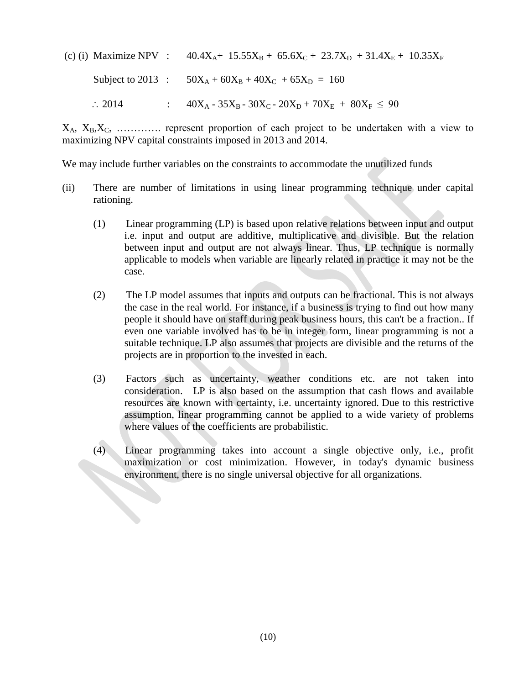(c) (i) Maximize NPV :  $40.4X_A + 15.55X_B + 65.6X_C + 23.7X_D + 31.4X_E + 10.35X_F$ 

Subject to 2013 :  $50X_A + 60X_B + 40X_C + 65X_D = 160$ 

:  $2014$  :  $40X_A - 35X_B - 30X_C - 20X_D + 70X_E + 80X_F \le 90$ 

 $X_A$ ,  $X_B$ ,  $X_C$ , .............. represent proportion of each project to be undertaken with a view to maximizing NPV capital constraints imposed in 2013 and 2014.

We may include further variables on the constraints to accommodate the unutilized funds

- (ii) There are number of limitations in using linear programming technique under capital rationing.
	- (1) Linear programming (LP) is based upon relative relations between input and output i.e. input and output are additive, multiplicative and divisible. But the relation between input and output are not always linear. Thus, LP technique is normally applicable to models when variable are linearly related in practice it may not be the case.
	- (2) The LP model assumes that inputs and outputs can be fractional. This is not always the case in the real world. For instance, if a business is trying to find out how many people it should have on staff during peak business hours, this can't be a fraction.. If even one variable involved has to be in integer form, linear programming is not a suitable technique. LP also assumes that projects are divisible and the returns of the projects are in proportion to the invested in each.
	- (3) Factors such as uncertainty, weather conditions etc. are not taken into consideration. LP is also based on the assumption that cash flows and available resources are known with certainty, i.e. uncertainty ignored. Due to this restrictive assumption, linear programming cannot be applied to a wide variety of problems where values of the coefficients are probabilistic.
	- (4) Linear programming takes into account a single objective only, i.e., profit maximization or cost minimization. However, in today's dynamic business<br>environment, there is no single universal objective for all organizations. environment, there is no single universal objective for all organizations.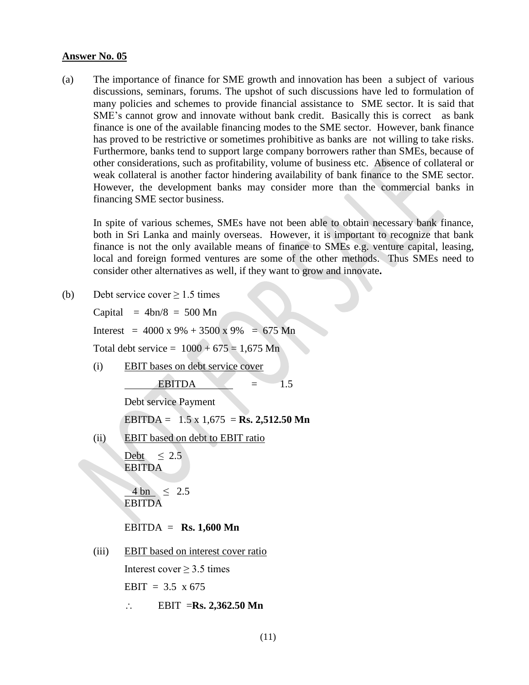#### **Answer No. 05**

(a) The importance of finance for SME growth and innovation has been a subject of various discussions, seminars, forums. The upshot of such discussions have led to formulation of many policies and schemes to provide financial assistance to SME sector. It is said that SME's cannot grow and innovate without bank credit. Basically this is correct as bank finance is one of the available financing modes to the SME sector. However, bank finance has proved to be restrictive or sometimes prohibitive as banks are not willing to take risks. Furthermore, banks tend to support large company borrowers rather than SMEs, because of other considerations, such as profitability, volume of business etc. Absence of collateral or weak collateral is another factor hindering availability of bank finance to the SME sector. However, the development banks may consider more than the commercial banks in financing SME sector business.

In spite of various schemes, SMEs have not been able to obtain necessary bank finance, both in Sri Lanka and mainly overseas. However, it is important to recognize that bank finance is not the only available means of finance to SMEs e.g. venture capital, leasing, local and foreign formed ventures are some of the other methods. Thus SMEs need to consider other alternatives as well, if they want to grow and innovate**.** 

(b) Debt service cover  $> 1.5$  times

Capital  $= 4bn/8 = 500 Mn$ Interest =  $4000 \times 9\% + 3500 \times 9\% = 675 \text{ Mn}$ Total debt service =  $1000 + 675 = 1.675$  Mn (i) EBIT bases on debt service cover EBITDA  $=$  1.5 Debt service Payment EBITDA = 1.5 x 1,675 = **Rs. 2,512.50 Mn** (ii) EBIT based on debt to EBIT ratio Debt  $\leq 2.5$ EBITDA  $4 \text{ bn} \leq 2.5$ EBITDA EBITDA = **Rs. 1,600 Mn** (iii) EBIT based on interest cover ratio Interest cover  $\geq$  3.5 times EBIT =  $3.5 \times 675$ 

 $\therefore$  **EBIT** = **Rs. 2,362.50** Mn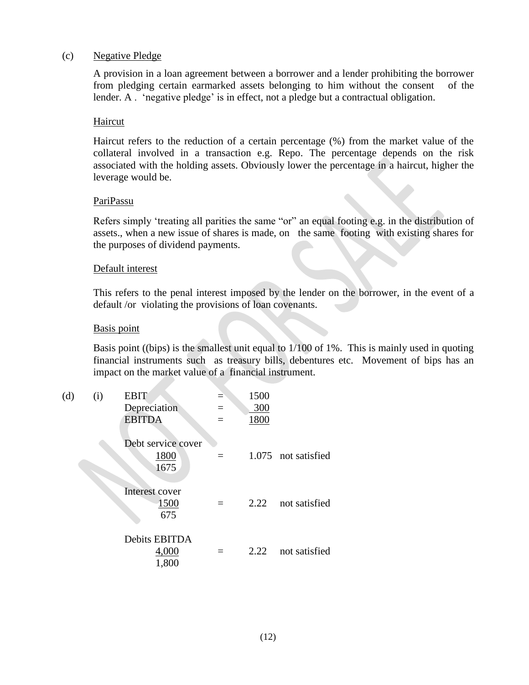#### (c) Negative Pledge

A provision in a loan agreement between a borrower and a lender prohibiting the borrower from pledging certain earmarked assets belonging to him without the consent of the lender. A . 'negative pledge' is in effect, not a pledge but a contractual obligation.

#### Haircut

Haircut refers to the reduction of a certain percentage (%) from the market value of the collateral involved in a transaction e.g. Repo. The percentage depends on the risk associated with the holding assets. Obviously lower the percentage in a haircut, higher the leverage would be.

#### PariPassu

Refers simply 'treating all parities the same "or" an equal footing e.g. in the distribution of assets., when a new issue of shares is made, on the same footing with existing shares for the purposes of dividend payments.

#### Default interest

This refers to the penal interest imposed by the lender on the borrower, in the event of a default /or violating the provisions of loan covenants.

#### Basis point

Basis point ((bips) is the smallest unit equal to 1/100 of 1%. This is mainly used in quoting financial instruments such as treasury bills, debentures etc. Movement of bips has an impact on the market value of a financial instrument.

| (d) | (i) | <b>EBIT</b><br>Depreciation<br><b>EBITDA</b> | $=$<br>$=$ | 1500<br>300<br>1800 |                     |
|-----|-----|----------------------------------------------|------------|---------------------|---------------------|
|     |     | Debt service cover<br>1800<br>1675           | $=$        |                     | 1.075 not satisfied |
|     |     | Interest cover<br>1500<br>675                |            | 2.22                | not satisfied       |
|     |     | Debits EBITDA<br>4,000<br>1,800              |            | 2.22                | not satisfied       |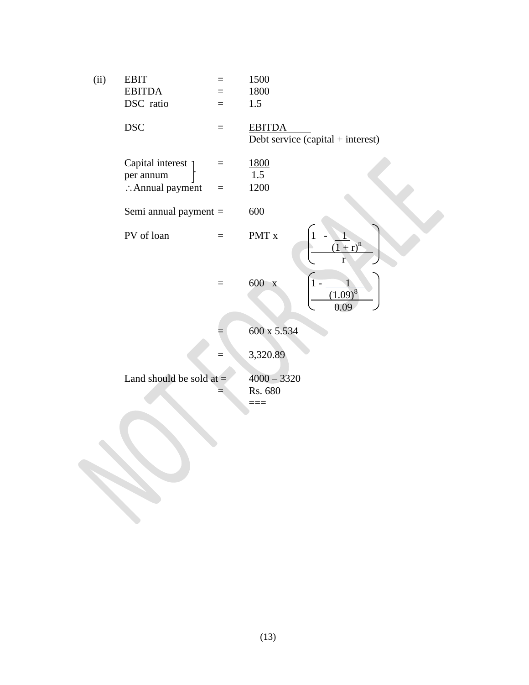